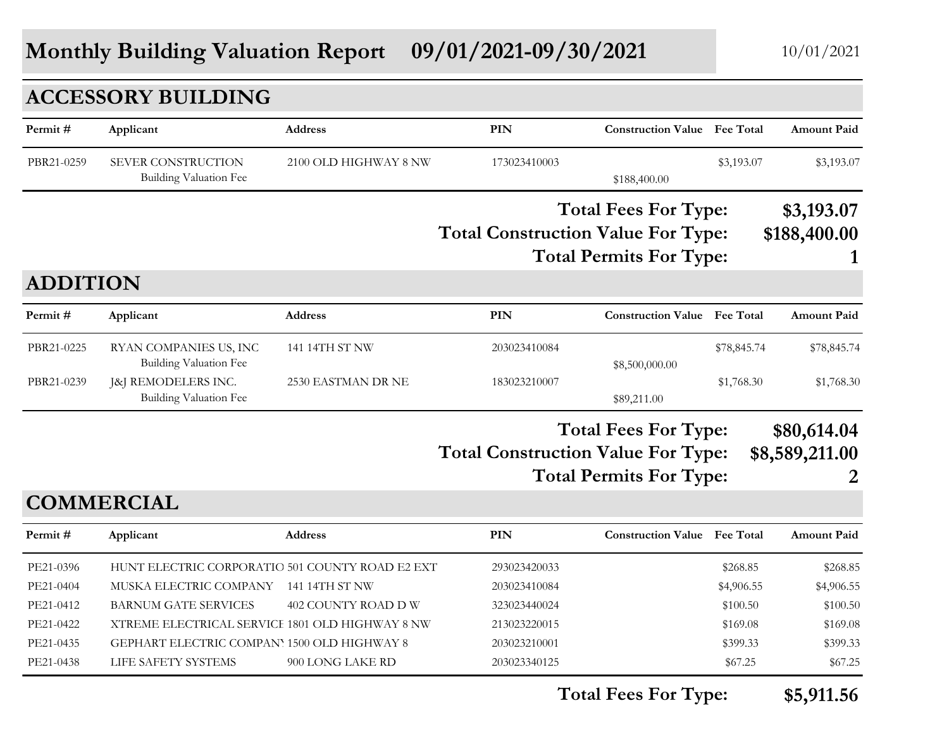# **Monthly Building Valuation Report 09/01/2021-09/30/2021** 10/01/2021

|                 | <b>ACCESSORY BUILDING</b>                                  |                       |                                           |                                                               |             |                                    |
|-----------------|------------------------------------------------------------|-----------------------|-------------------------------------------|---------------------------------------------------------------|-------------|------------------------------------|
| Permit#         | Applicant                                                  | <b>Address</b>        | <b>PIN</b>                                | <b>Construction Value</b> Fee Total                           |             | <b>Amount Paid</b>                 |
| PBR21-0259      | <b>SEVER CONSTRUCTION</b><br><b>Building Valuation Fee</b> | 2100 OLD HIGHWAY 8 NW | 173023410003                              | \$188,400.00                                                  | \$3,193.07  | \$3,193.07                         |
|                 |                                                            |                       | <b>Total Construction Value For Type:</b> | <b>Total Fees For Type:</b><br><b>Total Permits For Type:</b> |             | \$3,193.07<br>\$188,400.00         |
| <b>ADDITION</b> |                                                            |                       |                                           |                                                               |             |                                    |
| Permit#         | Applicant                                                  | <b>Address</b>        | <b>PIN</b>                                | <b>Construction Value Fee Total</b>                           |             | <b>Amount Paid</b>                 |
| PBR21-0225      | RYAN COMPANIES US, INC<br><b>Building Valuation Fee</b>    | 141 14TH ST NW        | 203023410084                              | \$8,500,000.00                                                | \$78,845.74 | \$78,845.74                        |
| PBR21-0239      | [&] REMODELERS INC.<br>Building Valuation Fee              | 2530 EASTMAN DR NE    | 183023210007                              | \$89,211.00                                                   | \$1,768.30  | \$1,768.30                         |
|                 |                                                            |                       | <b>Total Construction Value For Type:</b> | <b>Total Fees For Type:</b><br><b>Total Permits For Type:</b> |             | \$80,614.04<br>\$8,589,211.00<br>2 |
|                 | <b>COMMERCIAL</b>                                          |                       |                                           |                                                               |             |                                    |
| Permit#         | Applicant                                                  | Address               | <b>PIN</b>                                | <b>Construction Value Fee Total</b>                           |             | <b>Amount Paid</b>                 |
| PE21-0396       | HUNT ELECTRIC CORPORATIO 501 COUNTY ROAD E2 EXT            |                       | 293023420033                              |                                                               | \$268.85    | \$268.85                           |
| PE21-0404       | MUSKA ELECTRIC COMPANY                                     | 141 14TH ST NW        | 203023410084                              |                                                               | \$4,906.55  | \$4,906.55                         |
| PE21-0412       | <b>BARNUM GATE SERVICES</b>                                | 402 COUNTY ROAD D W   | 323023440024                              |                                                               | \$100.50    | \$100.50                           |
| PE21-0422       | XTREME ELECTRICAL SERVICE 1801 OLD HIGHWAY 8 NW            |                       | 213023220015                              |                                                               | \$169.08    | \$169.08                           |
| PE21-0435       | GEPHART ELECTRIC COMPANY 1500 OLD HIGHWAY 8                |                       | 203023210001                              |                                                               | \$399.33    | \$399.33                           |
| PE21-0438       | LIFE SAFETY SYSTEMS                                        | 900 LONG LAKE RD      | 203023340125                              |                                                               | \$67.25     | \$67.25                            |

**Total Fees For Type: \$5,911.56**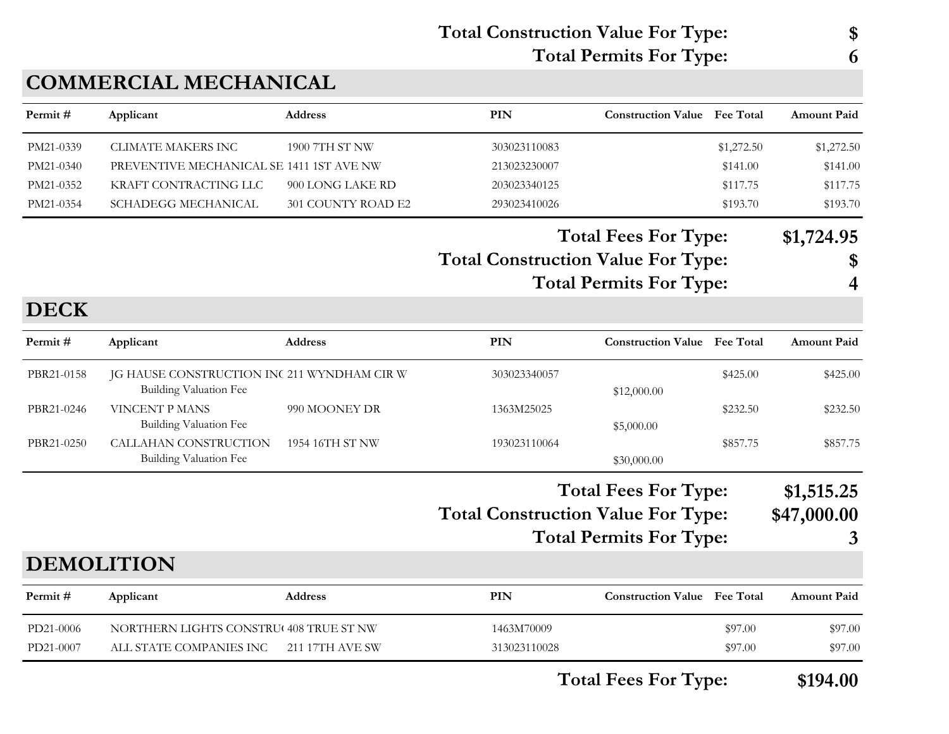### **Total Construction Value For Type: \$ Total Permits For Type: 6**

| Permit#     | Applicant                                                                    | <b>Address</b>     | <b>PIN</b>                                | <b>Construction Value</b> Fee Total |            | <b>Amount Paid</b> |
|-------------|------------------------------------------------------------------------------|--------------------|-------------------------------------------|-------------------------------------|------------|--------------------|
| PM21-0339   | <b>CLIMATE MAKERS INC</b>                                                    | 1900 7TH ST NW     | 303023110083                              |                                     | \$1,272.50 | \$1,272.50         |
| PM21-0340   | PREVENTIVE MECHANICAL SE 1411 1ST AVE NW                                     |                    | 213023230007                              |                                     | \$141.00   | \$141.00           |
| PM21-0352   | KRAFT CONTRACTING LLC                                                        | 900 LONG LAKE RD   | 203023340125                              |                                     | \$117.75   | \$117.75           |
| PM21-0354   | <b>SCHADEGG MECHANICAL</b>                                                   | 301 COUNTY ROAD E2 | 293023410026                              |                                     | \$193.70   | \$193.70           |
|             |                                                                              |                    |                                           | <b>Total Fees For Type:</b>         |            | \$1,724.95         |
|             |                                                                              |                    | <b>Total Construction Value For Type:</b> |                                     |            | \$                 |
|             |                                                                              |                    |                                           | <b>Total Permits For Type:</b>      |            | 4                  |
| <b>DECK</b> |                                                                              |                    |                                           |                                     |            |                    |
| Permit#     | Applicant                                                                    | <b>Address</b>     | <b>PIN</b>                                | <b>Construction Value Fee Total</b> |            | <b>Amount Paid</b> |
| PBR21-0158  | JG HAUSE CONSTRUCTION INC 211 WYNDHAM CIR W<br><b>Building Valuation Fee</b> |                    | 303023340057                              | \$12,000.00                         | \$425.00   | \$425.00           |
| PBR21-0246  | <b>VINCENT P MANS</b><br><b>Building Valuation Fee</b>                       | 990 MOONEY DR      | 1363M25025                                | \$5,000.00                          | \$232.50   | \$232.50           |
| PBR21-0250  | CALLAHAN CONSTRUCTION<br><b>Building Valuation Fee</b>                       | 1954 16TH ST NW    | 193023110064                              | \$30,000.00                         | \$857.75   | \$857.75           |
|             |                                                                              |                    |                                           | <b>Total Fees For Type:</b>         |            | \$1,515.25         |
|             |                                                                              |                    |                                           |                                     |            |                    |
|             |                                                                              |                    | <b>Total Construction Value For Type:</b> |                                     |            | \$47,000.00        |
|             |                                                                              |                    |                                           | <b>Total Permits For Type:</b>      |            | 3                  |
|             | <b>DEMOLITION</b>                                                            |                    |                                           |                                     |            |                    |
| Permit#     | Applicant                                                                    | Address            | PIN                                       | <b>Construction Value Fee Total</b> |            | Amount Paid        |
| PD21-0006   | NORTHERN LIGHTS CONSTRU(408 TRUE ST NW                                       |                    | 1463M70009                                |                                     | \$97.00    | \$97.00            |
| PD21-0007   | ALL STATE COMPANIES INC                                                      | 211 17TH AVE SW    | 313023110028                              |                                     | \$97.00    | \$97.00            |
|             |                                                                              |                    |                                           | <b>Total Fees For Type:</b>         |            | \$194.00           |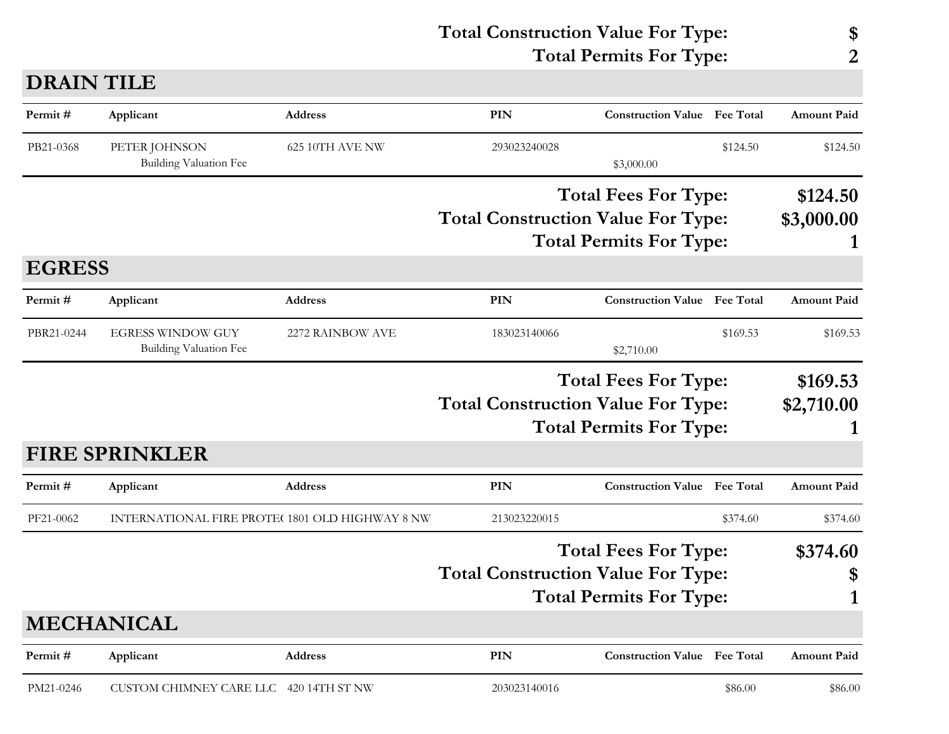|                                                                                                                                                                                                                                                                                                                                                                                                                                                                                                                                                                                                                                                                                                                                                                                                                                                                                                                                                                                                                                                                              |  |  |                                | \$                          |
|------------------------------------------------------------------------------------------------------------------------------------------------------------------------------------------------------------------------------------------------------------------------------------------------------------------------------------------------------------------------------------------------------------------------------------------------------------------------------------------------------------------------------------------------------------------------------------------------------------------------------------------------------------------------------------------------------------------------------------------------------------------------------------------------------------------------------------------------------------------------------------------------------------------------------------------------------------------------------------------------------------------------------------------------------------------------------|--|--|--------------------------------|-----------------------------|
|                                                                                                                                                                                                                                                                                                                                                                                                                                                                                                                                                                                                                                                                                                                                                                                                                                                                                                                                                                                                                                                                              |  |  |                                | 2                           |
| <b>Total Construction Value For Type:</b><br><b>Total Permits For Type:</b><br><b>DRAIN TILE</b><br>PIN<br>Permit#<br>Applicant<br>Address<br><b>Construction Value</b> Fee Total<br>PB21-0368<br>PETER JOHNSON<br>625 10TH AVE NW<br>293023240028<br>\$124.50<br>Building Valuation Fee<br>\$3,000.00<br><b>Total Fees For Type:</b><br><b>Total Construction Value For Type:</b><br><b>Total Permits For Type:</b><br><b>EGRESS</b><br>Permit#<br><b>PIN</b><br><b>Construction Value Fee Total</b><br><b>Address</b><br>Applicant<br>PBR21-0244<br><b>EGRESS WINDOW GUY</b><br>2272 RAINBOW AVE<br>183023140066<br>\$169.53<br>Building Valuation Fee<br>\$2,710.00<br><b>Total Fees For Type:</b><br><b>Total Construction Value For Type:</b><br><b>Total Permits For Type:</b><br><b>FIRE SPRINKLER</b><br>PIN<br>Permit#<br><b>Address</b><br><b>Construction Value</b> Fee Total<br>Applicant<br>PF21-0062<br>INTERNATIONAL FIRE PROTE(1801 OLD HIGHWAY 8 NW<br>213023220015<br>\$374.60<br><b>Total Fees For Type:</b><br><b>Total Construction Value For Type:</b> |  |  |                                |                             |
|                                                                                                                                                                                                                                                                                                                                                                                                                                                                                                                                                                                                                                                                                                                                                                                                                                                                                                                                                                                                                                                                              |  |  |                                | <b>Amount Paid</b>          |
|                                                                                                                                                                                                                                                                                                                                                                                                                                                                                                                                                                                                                                                                                                                                                                                                                                                                                                                                                                                                                                                                              |  |  |                                | \$124.50                    |
|                                                                                                                                                                                                                                                                                                                                                                                                                                                                                                                                                                                                                                                                                                                                                                                                                                                                                                                                                                                                                                                                              |  |  |                                | \$124.50<br>\$3,000.00<br>1 |
|                                                                                                                                                                                                                                                                                                                                                                                                                                                                                                                                                                                                                                                                                                                                                                                                                                                                                                                                                                                                                                                                              |  |  |                                |                             |
|                                                                                                                                                                                                                                                                                                                                                                                                                                                                                                                                                                                                                                                                                                                                                                                                                                                                                                                                                                                                                                                                              |  |  |                                | <b>Amount Paid</b>          |
|                                                                                                                                                                                                                                                                                                                                                                                                                                                                                                                                                                                                                                                                                                                                                                                                                                                                                                                                                                                                                                                                              |  |  |                                | \$169.53                    |
|                                                                                                                                                                                                                                                                                                                                                                                                                                                                                                                                                                                                                                                                                                                                                                                                                                                                                                                                                                                                                                                                              |  |  |                                | \$169.53<br>\$2,710.00<br>1 |
|                                                                                                                                                                                                                                                                                                                                                                                                                                                                                                                                                                                                                                                                                                                                                                                                                                                                                                                                                                                                                                                                              |  |  |                                |                             |
|                                                                                                                                                                                                                                                                                                                                                                                                                                                                                                                                                                                                                                                                                                                                                                                                                                                                                                                                                                                                                                                                              |  |  |                                | <b>Amount Paid</b>          |
|                                                                                                                                                                                                                                                                                                                                                                                                                                                                                                                                                                                                                                                                                                                                                                                                                                                                                                                                                                                                                                                                              |  |  |                                | \$374.60                    |
|                                                                                                                                                                                                                                                                                                                                                                                                                                                                                                                                                                                                                                                                                                                                                                                                                                                                                                                                                                                                                                                                              |  |  | <b>Total Permits For Type:</b> | \$374.60<br>\$              |

# **MECHANICAL**

| Permit#   | Applicant                              | Address | PIN          | <b>Construction Value</b> Fee Total |         | <b>Amount Paid</b> |
|-----------|----------------------------------------|---------|--------------|-------------------------------------|---------|--------------------|
| PM21-0246 | CUSTOM CHIMNEY CARE LLC 420 14TH ST NW |         | 203023140016 |                                     | \$86.00 | \$86.00            |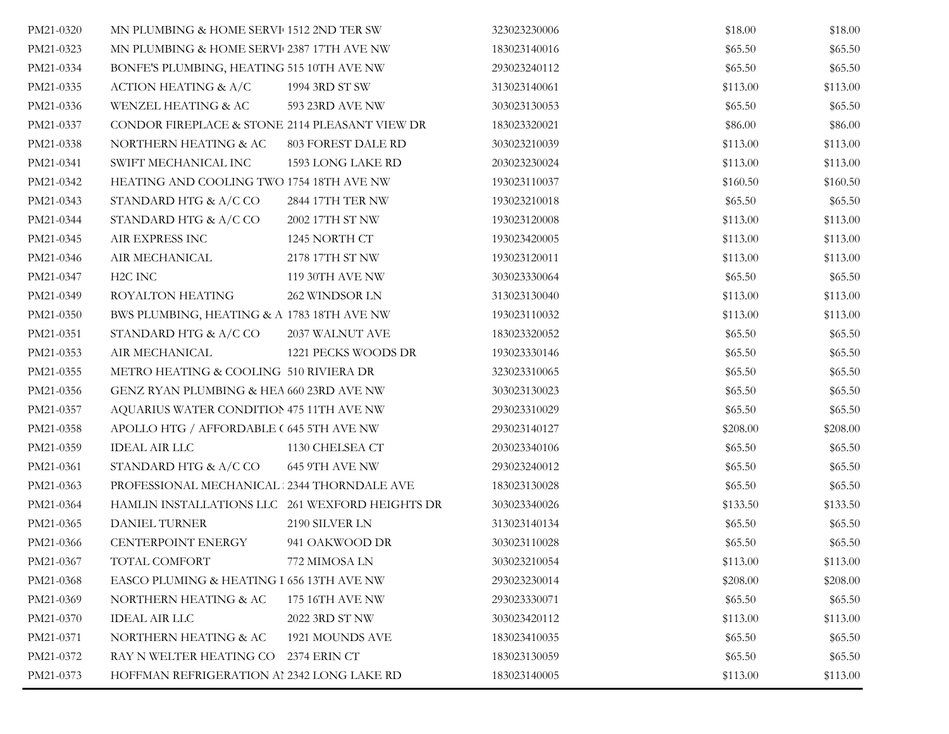| PM21-0320 | MN PLUMBING & HOME SERVI 1512 2ND TER SW        |                     | 323023230006 | \$18.00  | \$18.00  |
|-----------|-------------------------------------------------|---------------------|--------------|----------|----------|
| PM21-0323 | MN PLUMBING & HOME SERVI 2387 17TH AVE NW       |                     | 183023140016 | \$65.50  | \$65.50  |
| PM21-0334 | BONFE'S PLUMBING, HEATING 515 10TH AVE NW       |                     | 293023240112 | \$65.50  | \$65.50  |
| PM21-0335 | ACTION HEATING & A/C                            | 1994 3RD ST SW      | 313023140061 | \$113.00 | \$113.00 |
| PM21-0336 | WENZEL HEATING & AC                             | 593 23RD AVE NW     | 303023130053 | \$65.50  | \$65.50  |
| PM21-0337 | CONDOR FIREPLACE & STONE 2114 PLEASANT VIEW DR  |                     | 183023320021 | \$86.00  | \$86.00  |
| PM21-0338 | NORTHERN HEATING & AC                           | 803 FOREST DALE RD  | 303023210039 | \$113.00 | \$113.00 |
| PM21-0341 | SWIFT MECHANICAL INC                            | 1593 LONG LAKE RD   | 203023230024 | \$113.00 | \$113.00 |
| PM21-0342 | HEATING AND COOLING TWO 1754 18TH AVE NW        |                     | 193023110037 | \$160.50 | \$160.50 |
| PM21-0343 | STANDARD HTG $\&$ A/C CO                        | 2844 17TH TER NW    | 193023210018 | \$65.50  | \$65.50  |
| PM21-0344 | STANDARD HTG & A/C CO                           | 2002 17TH ST NW     | 193023120008 | \$113.00 | \$113.00 |
| PM21-0345 | AIR EXPRESS INC                                 | 1245 NORTH CT       | 193023420005 | \$113.00 | \$113.00 |
| PM21-0346 | AIR MECHANICAL                                  | 2178 17TH ST NW     | 193023120011 | \$113.00 | \$113.00 |
| PM21-0347 | H2C INC                                         | 119 30TH AVE NW     | 303023330064 | \$65.50  | \$65.50  |
| PM21-0349 | ROYALTON HEATING                                | 262 WINDSOR LN      | 313023130040 | \$113.00 | \$113.00 |
| PM21-0350 | BWS PLUMBING, HEATING & A 1783 18TH AVE NW      |                     | 193023110032 | \$113.00 | \$113.00 |
| PM21-0351 | STANDARD HTG & A/C CO                           | 2037 WALNUT AVE     | 183023320052 | \$65.50  | \$65.50  |
| PM21-0353 | AIR MECHANICAL                                  | 1221 PECKS WOODS DR | 193023330146 | \$65.50  | \$65.50  |
| PM21-0355 | METRO HEATING & COOLING 510 RIVIERA DR          |                     | 323023310065 | \$65.50  | \$65.50  |
| PM21-0356 | GENZ RYAN PLUMBING & HEA 660 23RD AVE NW        |                     | 303023130023 | \$65.50  | \$65.50  |
| PM21-0357 | AQUARIUS WATER CONDITION 475 11TH AVE NW        |                     | 293023310029 | \$65.50  | \$65.50  |
| PM21-0358 | APOLLO HTG / AFFORDABLE (645 5TH AVE NW         |                     | 293023140127 | \$208.00 | \$208.00 |
| PM21-0359 | <b>IDEAL AIR LLC</b>                            | 1130 CHELSEA CT     | 203023340106 | \$65.50  | \$65.50  |
| PM21-0361 | STANDARD HTG & A/C CO                           | 645 9TH AVE NW      | 293023240012 | \$65.50  | \$65.50  |
| PM21-0363 | PROFESSIONAL MECHANICAL : 2344 THORNDALE AVE    |                     | 183023130028 | \$65.50  | \$65.50  |
| PM21-0364 | HAMLIN INSTALLATIONS LLC 261 WEXFORD HEIGHTS DR |                     | 303023340026 | \$133.50 | \$133.50 |
| PM21-0365 | DANIEL TURNER                                   | 2190 SILVER LN      | 313023140134 | \$65.50  | \$65.50  |
| PM21-0366 | CENTERPOINT ENERGY                              | 941 OAKWOOD DR      | 303023110028 | \$65.50  | \$65.50  |
| PM21-0367 | TOTAL COMFORT                                   | 772 MIMOSA LN       | 303023210054 | \$113.00 | \$113.00 |
| PM21-0368 | EASCO PLUMING & HEATING I 656 13TH AVE NW       |                     | 293023230014 | \$208.00 | \$208.00 |
| PM21-0369 | NORTHERN HEATING & AC                           | 175 16TH AVE NW     | 293023330071 | \$65.50  | \$65.50  |
| PM21-0370 | <b>IDEAL AIR LLC</b>                            | 2022 3RD ST NW      | 303023420112 | \$113.00 | \$113.00 |
| PM21-0371 | NORTHERN HEATING & AC                           | 1921 MOUNDS AVE     | 183023410035 | \$65.50  | \$65.50  |
| PM21-0372 | RAY N WELTER HEATING CO                         | 2374 ERIN CT        | 183023130059 | \$65.50  | \$65.50  |
| PM21-0373 | HOFFMAN REFRIGERATION AI 2342 LONG LAKE RD      |                     | 183023140005 | \$113.00 | \$113.00 |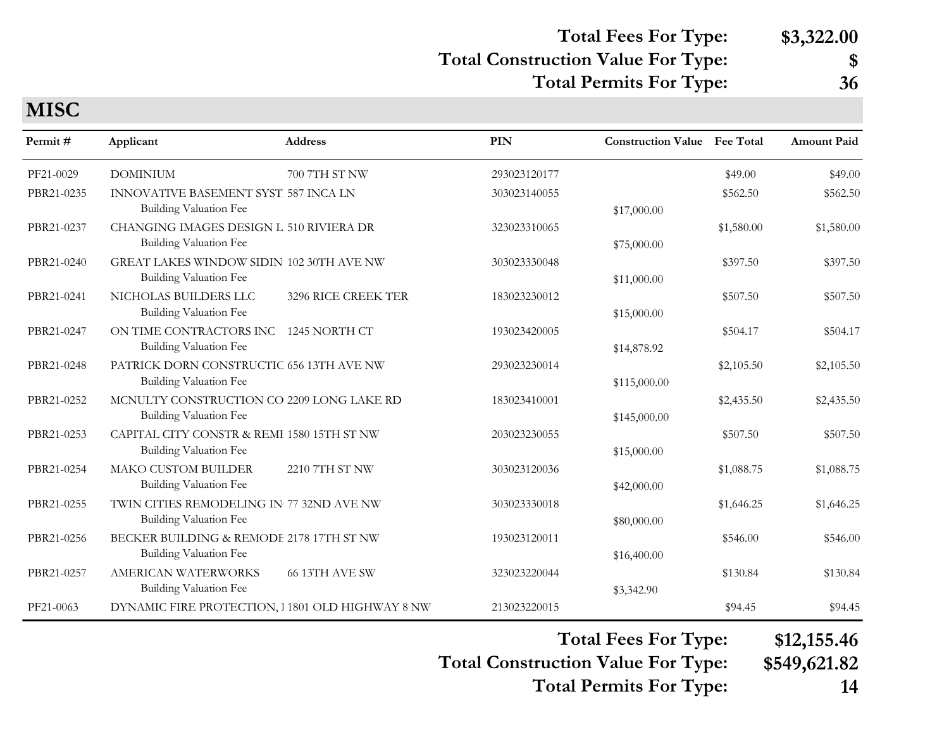## **Total Fees For Type: \$3,322.00**

#### **Total Construction Value For Type: \$**

**Total Permits For Type: 36**

| Permit#    | Applicant                                                                  | <b>Address</b>      | PIN          | <b>Construction Value</b> Fee Total |            | <b>Amount Paid</b> |
|------------|----------------------------------------------------------------------------|---------------------|--------------|-------------------------------------|------------|--------------------|
| PF21-0029  | <b>DOMINIUM</b>                                                            | 700 7TH ST NW       | 293023120177 |                                     | \$49.00    | \$49.00            |
| PBR21-0235 | INNOVATIVE BASEMENT SYST. 587 INCA LN<br>Building Valuation Fee            |                     | 303023140055 | \$17,000.00                         | \$562.50   | \$562.50           |
| PBR21-0237 | CHANGING IMAGES DESIGN L 510 RIVIERA DR<br>Building Valuation Fee          |                     | 323023310065 | \$75,000.00                         | \$1,580.00 | \$1,580.00         |
| PBR21-0240 | GREAT LAKES WINDOW SIDIN 102 30TH AVE NW<br>Building Valuation Fee         |                     | 303023330048 | \$11,000.00                         | \$397.50   | \$397.50           |
| PBR21-0241 | NICHOLAS BUILDERS LLC<br><b>Building Valuation Fee</b>                     | 3296 RICE CREEK TER | 183023230012 | \$15,000.00                         | \$507.50   | \$507.50           |
| PBR21-0247 | ON TIME CONTRACTORS INC 1245 NORTH CT<br>Building Valuation Fee            |                     | 193023420005 | \$14,878.92                         | \$504.17   | \$504.17           |
| PBR21-0248 | PATRICK DORN CONSTRUCTIC 656 13TH AVE NW<br>Building Valuation Fee         |                     | 293023230014 | \$115,000.00                        | \$2,105.50 | \$2,105.50         |
| PBR21-0252 | MCNULTY CONSTRUCTION CO 2209 LONG LAKE RD<br><b>Building Valuation Fee</b> |                     | 183023410001 | \$145,000.00                        | \$2,435.50 | \$2,435.50         |
| PBR21-0253 | CAPITAL CITY CONSTR & REMI 1580 15TH ST NW<br>Building Valuation Fee       |                     | 203023230055 | \$15,000.00                         | \$507.50   | \$507.50           |
| PBR21-0254 | <b>MAKO CUSTOM BUILDER</b><br><b>Building Valuation Fee</b>                | 2210 7TH ST NW      | 303023120036 | \$42,000.00                         | \$1,088.75 | \$1,088.75         |
| PBR21-0255 | TWIN CITIES REMODELING IN 77 32ND AVE NW<br><b>Building Valuation Fee</b>  |                     | 303023330018 | \$80,000.00                         | \$1,646.25 | \$1,646.25         |
| PBR21-0256 | BECKER BUILDING & REMODE 2178 17TH ST NW<br>Building Valuation Fee         |                     | 193023120011 | \$16,400.00                         | \$546.00   | \$546.00           |
| PBR21-0257 | AMERICAN WATERWORKS<br>Building Valuation Fee                              | 66 13TH AVE SW      | 323023220044 | \$3,342.90                          | \$130.84   | \$130.84           |
| PF21-0063  | DYNAMIC FIRE PROTECTION, 1 1801 OLD HIGHWAY 8 NW                           |                     | 213023220015 |                                     | \$94.45    | \$94.45            |

**Total Fees For Type: \$12,155.46**

**Total Construction Value For Type: \$549,621.82 Total Permits For Type: 14**

**MISC**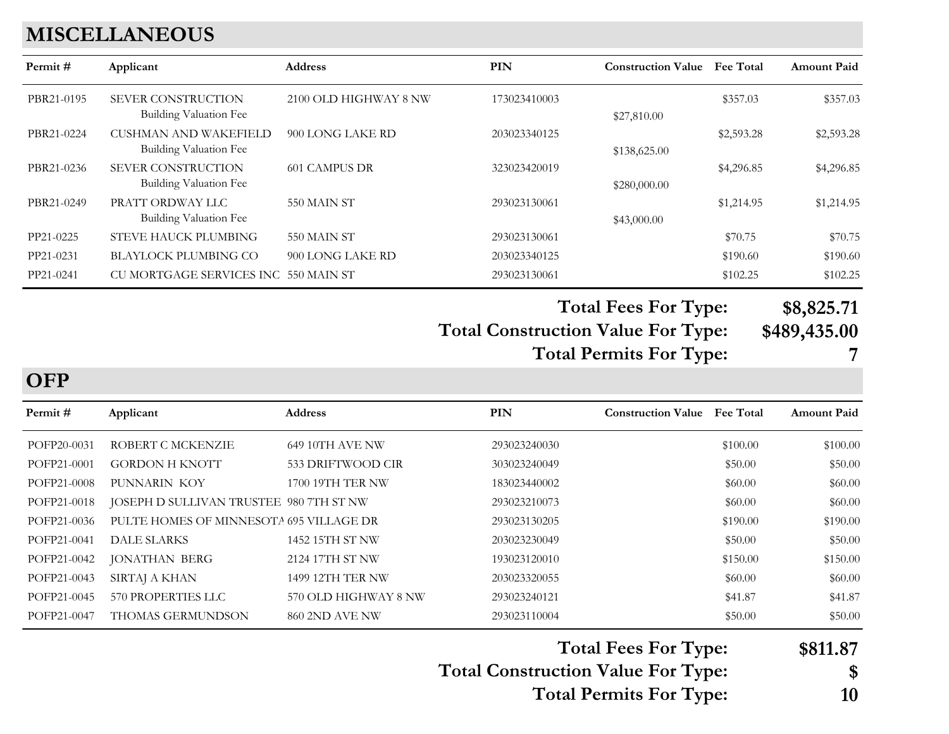## **MISCELLANEOUS**

| Permit #   | Applicant                                                  | <b>Address</b>        | PIN          | <b>Construction Value</b> | <b>Fee Total</b> | <b>Amount Paid</b> |
|------------|------------------------------------------------------------|-----------------------|--------------|---------------------------|------------------|--------------------|
| PBR21-0195 | <b>SEVER CONSTRUCTION</b><br><b>Building Valuation Fee</b> | 2100 OLD HIGHWAY 8 NW | 173023410003 | \$27,810.00               | \$357.03         | \$357.03           |
| PBR21-0224 | <b>CUSHMAN AND WAKEFIELD</b><br>Building Valuation Fee     | 900 LONG LAKE RD      | 203023340125 | \$138,625.00              | \$2,593.28       | \$2,593.28         |
| PBR21-0236 | <b>SEVER CONSTRUCTION</b><br>Building Valuation Fee        | 601 CAMPUS DR         | 323023420019 | \$280,000.00              | \$4,296.85       | \$4,296.85         |
| PBR21-0249 | PRATT ORDWAY LLC<br>Building Valuation Fee                 | 550 MAIN ST           | 293023130061 | \$43,000.00               | \$1,214.95       | \$1,214.95         |
| PP21-0225  | STEVE HAUCK PLUMBING                                       | 550 MAIN ST           | 293023130061 |                           | \$70.75          | \$70.75            |
| PP21-0231  | <b>BLAYLOCK PLUMBING CO</b>                                | 900 LONG LAKE RD      | 203023340125 |                           | \$190.60         | \$190.60           |
| PP21-0241  | CU MORTGAGE SERVICES INC 550 MAIN ST                       |                       | 293023130061 |                           | \$102.25         | \$102.25           |

**Total Construction Value For Type: \$489,435.00 Total Fees For Type: \$8,825.71 Total Permits For Type: 7**

**OFP**

| Permit#     | Applicant                               | <b>Address</b>          | <b>PIN</b>   | <b>Construction Value</b> | <b>Fee Total</b> | <b>Amount Paid</b> |
|-------------|-----------------------------------------|-------------------------|--------------|---------------------------|------------------|--------------------|
| POFP20-0031 | ROBERT C MCKENZIE                       | <b>649 10TH AVE NW</b>  | 293023240030 |                           | \$100.00         | \$100.00           |
| POFP21-0001 | <b>GORDON H KNOTT</b>                   | 533 DRIFTWOOD CIR       | 303023240049 |                           | \$50.00          | \$50.00            |
| POFP21-0008 | PUNNARIN KOY                            | 1700 19TH TER NW        | 183023440002 |                           | \$60.00          | \$60.00            |
| POFP21-0018 | JOSEPH D SULLIVAN TRUSTEE 980 7TH ST NW |                         | 293023210073 |                           | \$60.00          | \$60.00            |
| POFP21-0036 | PULTE HOMES OF MINNESOTA 695 VILLAGE DR |                         | 293023130205 |                           | \$190.00         | \$190.00           |
| POFP21-0041 | DALE SLARKS                             | 1452 15TH ST NW         | 203023230049 |                           | \$50.00          | \$50.00            |
| POFP21-0042 | <b>JONATHAN BERG</b>                    | 2124 17TH ST NW         | 193023120010 |                           | \$150.00         | \$150.00           |
| POFP21-0043 | SIRTAJ A KHAN                           | <b>1499 12TH TER NW</b> | 203023320055 |                           | \$60.00          | \$60.00            |
| POFP21-0045 | 570 PROPERTIES LLC                      | 570 OLD HIGHWAY 8 NW    | 293023240121 |                           | \$41.87          | \$41.87            |
| POFP21-0047 | <b>THOMAS GERMUNDSON</b>                | 860 2ND AVE NW          | 293023110004 |                           | \$50.00          | \$50.00            |

**Total Construction Value For Type: \$ Total Fees For Type: \$811.87**

**Total Permits For Type: 10**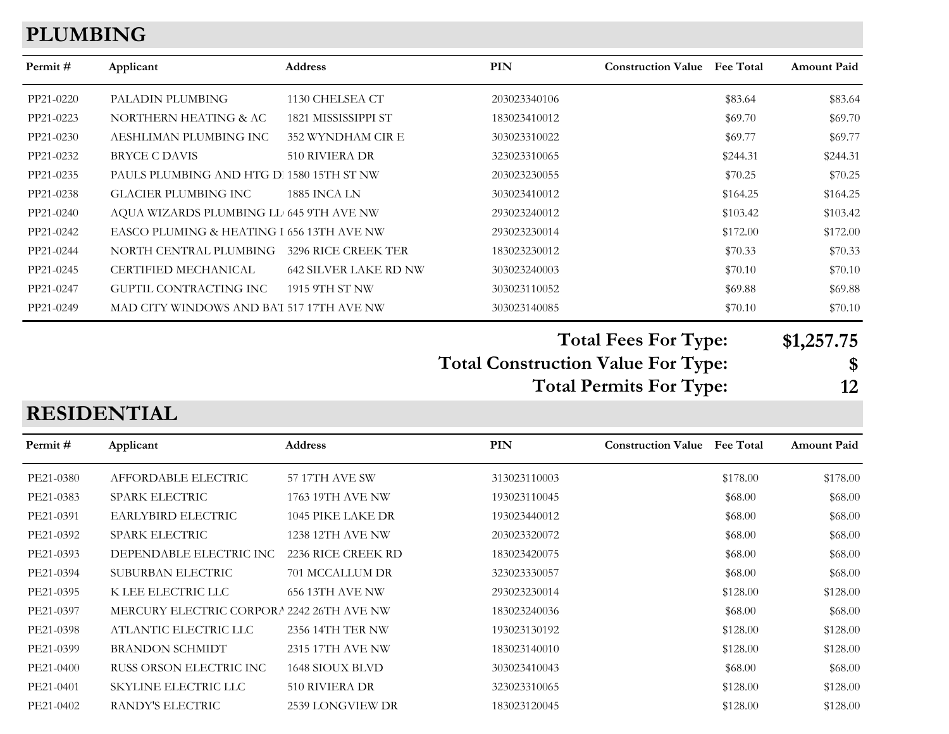#### **PLUMBING**

| Permit #  | Applicant                                 | <b>Address</b>               | <b>PIN</b>   | <b>Construction Value</b> Fee Total |          | <b>Amount Paid</b> |
|-----------|-------------------------------------------|------------------------------|--------------|-------------------------------------|----------|--------------------|
| PP21-0220 | PALADIN PLUMBING                          | 1130 CHELSEA CT              | 203023340106 |                                     | \$83.64  | \$83.64            |
| PP21-0223 | NORTHERN HEATING & AC                     | 1821 MISSISSIPPI ST          | 183023410012 |                                     | \$69.70  | \$69.70            |
| PP21-0230 | AESHLIMAN PLUMBING INC                    | 352 WYNDHAM CIR E            | 303023310022 |                                     | \$69.77  | \$69.77            |
| PP21-0232 | BRYCE C DAVIS                             | 510 RIVIERA DR               | 323023310065 |                                     | \$244.31 | \$244.31           |
| PP21-0235 | PAULS PLUMBING AND HTG D. 1580 15TH ST NW |                              | 203023230055 |                                     | \$70.25  | \$70.25            |
| PP21-0238 | GLACIER PLUMBING INC                      | <b>1885 INCA LN</b>          | 303023410012 |                                     | \$164.25 | \$164.25           |
| PP21-0240 | AQUA WIZARDS PLUMBING LL 645 9TH AVE NW   |                              | 293023240012 |                                     | \$103.42 | \$103.42           |
| PP21-0242 | EASCO PLUMING & HEATING I 656 13TH AVE NW |                              | 293023230014 |                                     | \$172.00 | \$172.00           |
| PP21-0244 | NORTH CENTRAL PLUMBING                    | 3296 RICE CREEK TER          | 183023230012 |                                     | \$70.33  | \$70.33            |
| PP21-0245 | CERTIFIED MECHANICAL                      | <b>642 SILVER LAKE RD NW</b> | 303023240003 |                                     | \$70.10  | \$70.10            |
| PP21-0247 | GUPTIL CONTRACTING INC                    | 1915 9TH ST NW               | 303023110052 |                                     | \$69.88  | \$69.88            |
| PP21-0249 | MAD CITY WINDOWS AND BAT 517 17TH AVE NW  |                              | 303023140085 |                                     | \$70.10  | \$70.10            |

**Total Fees For Type: \$1,257.75**

**Total Construction Value For Type: \$ Total Permits For Type: 12**

#### PE21-0402 RANDY'S ELECTRIC 2539 LONGVIEW DR 183023120045 \$128.00 \$128.00 **PIN Construction Value Permit # Applicant Address Fee Total Amount Paid** PE21-0380 AFFORDABLE ELECTRIC 57 17TH AVE SW 313023110003 \$178.00 \$178.00 \$178.00 PE21-0383 SPARK ELECTRIC 1763 19TH AVE NW 193023110045 \$68.00 \$68.00 \$68.00 PE21-0391 EARLYBIRD ELECTRIC 1045 PIKE LAKE DR 193023440012 \$68.00 \$68.00 \$68.00 PE21-0392 SPARK ELECTRIC 1238 12TH AVE NW 203023320072 \$68.00 \$68.00 \$68.00 PE21-0393 DEPENDABLE ELECTRIC INC 2236 RICE CREEK RD 183023420075 \$68.00 \$68.00 \$68.00 PE21-0394 SUBURBAN ELECTRIC 701 MCCALLUM DR 323023330057 \$68.00 \$68.00 \$68.00 PE21-0395 K LEE ELECTRIC LLC 656 13TH AVE NW 293023230014 \$128.00 \$128.00 PE21-0397 MERCURY ELECTRIC CORPORATION 2242 26TH AVE NW 183023240036 \$68.00 \$68.00 \$68.00 PE21-0398 ATLANTIC ELECTRIC LLC 2356 14TH TER NW 193023130192 \$128.00 \$128.00 PE21-0399 BRANDON SCHMIDT 2315 17TH AVE NW 183023140010 \$128.00 \$128.00 \$128.00 PE21-0400 RUSS ORSON ELECTRIC INC 1648 SIOUX BLVD 303023410043 \$68.00 \$68.00 \$68.00 PE21-0401 SKYLINE ELECTRIC LLC 510 RIVIERA DR 323023310065 \$128.00 \$128.00 \$128.00

**RESIDENTIAL**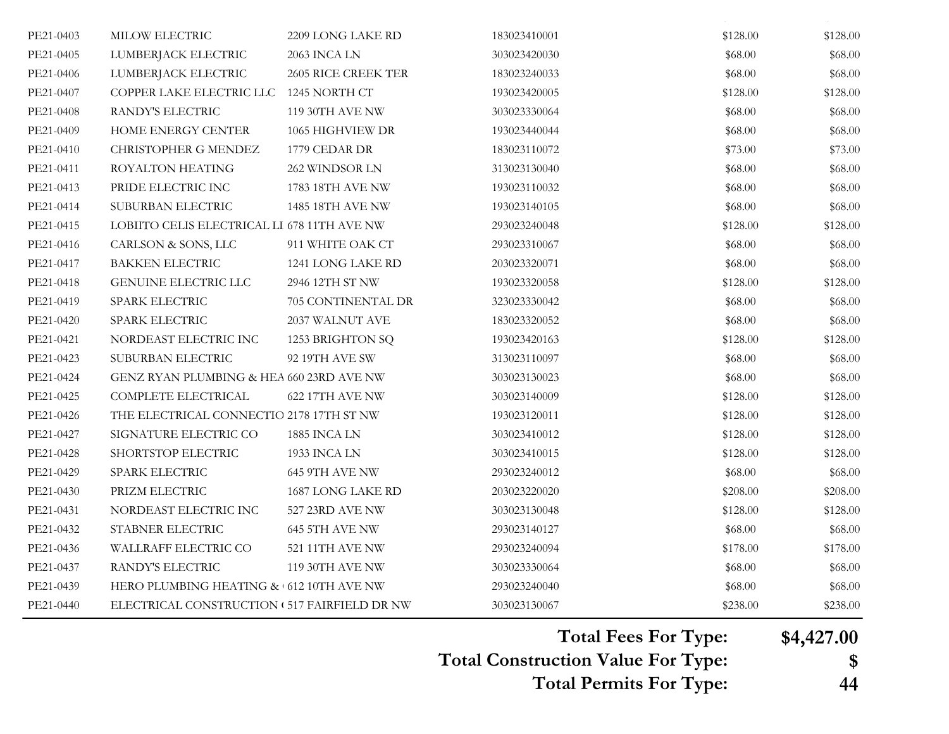| PE21-0403 | MILOW ELECTRIC                                | 2209 LONG LAKE RD      | 183023410001 | \$128.00 | \$128.00 |
|-----------|-----------------------------------------------|------------------------|--------------|----------|----------|
| PE21-0405 | LUMBERJACK ELECTRIC                           | <b>2063 INCA LN</b>    | 303023420030 | \$68.00  | \$68.00  |
| PE21-0406 | LUMBERJACK ELECTRIC                           | 2605 RICE CREEK TER    | 183023240033 | \$68.00  | \$68.00  |
| PE21-0407 | COPPER LAKE ELECTRIC LLC                      | 1245 NORTH CT          | 193023420005 | \$128.00 | \$128.00 |
| PE21-0408 | RANDY'S ELECTRIC                              | 119 30TH AVE NW        | 303023330064 | \$68.00  | \$68.00  |
| PE21-0409 | <b>HOME ENERGY CENTER</b>                     | 1065 HIGHVIEW DR       | 193023440044 | \$68.00  | \$68.00  |
| PE21-0410 | CHRISTOPHER G MENDEZ                          | 1779 CEDAR DR          | 183023110072 | \$73.00  | \$73.00  |
| PE21-0411 | ROYALTON HEATING                              | 262 WINDSOR LN         | 313023130040 | \$68.00  | \$68.00  |
| PE21-0413 | PRIDE ELECTRIC INC                            | 1783 18TH AVE NW       | 193023110032 | \$68.00  | \$68.00  |
| PE21-0414 | SUBURBAN ELECTRIC                             | 1485 18TH AVE NW       | 193023140105 | \$68.00  | \$68.00  |
| PE21-0415 | LOBIITO CELIS ELECTRICAL LI 678 11TH AVE NW   |                        | 293023240048 | \$128.00 | \$128.00 |
| PE21-0416 | CARLSON & SONS, LLC                           | 911 WHITE OAK CT       | 293023310067 | \$68.00  | \$68.00  |
| PE21-0417 | <b>BAKKEN ELECTRIC</b>                        | 1241 LONG LAKE RD      | 203023320071 | \$68.00  | \$68.00  |
| PE21-0418 | <b>GENUINE ELECTRIC LLC</b>                   | 2946 12TH ST NW        | 193023320058 | \$128.00 | \$128.00 |
| PE21-0419 | SPARK ELECTRIC                                | 705 CONTINENTAL DR     | 323023330042 | \$68.00  | \$68.00  |
| PE21-0420 | SPARK ELECTRIC                                | 2037 WALNUT AVE        | 183023320052 | \$68.00  | \$68.00  |
| PE21-0421 | NORDEAST ELECTRIC INC                         | 1253 BRIGHTON SQ       | 193023420163 | \$128.00 | \$128.00 |
| PE21-0423 | SUBURBAN ELECTRIC                             | 92 19TH AVE SW         | 313023110097 | \$68.00  | \$68.00  |
| PE21-0424 | GENZ RYAN PLUMBING & HEA 660 23RD AVE NW      |                        | 303023130023 | \$68.00  | \$68.00  |
| PE21-0425 | COMPLETE ELECTRICAL                           | 622 17TH AVE NW        | 303023140009 | \$128.00 | \$128.00 |
| PE21-0426 | THE ELECTRICAL CONNECTIO 2178 17TH ST NW      |                        | 193023120011 | \$128.00 | \$128.00 |
| PE21-0427 | SIGNATURE ELECTRIC CO                         | <b>1885 INCA LN</b>    | 303023410012 | \$128.00 | \$128.00 |
| PE21-0428 | SHORTSTOP ELECTRIC                            | 1933 INCA LN           | 303023410015 | \$128.00 | \$128.00 |
| PE21-0429 | SPARK ELECTRIC                                | 645 9TH AVE NW         | 293023240012 | \$68.00  | \$68.00  |
| PE21-0430 | PRIZM ELECTRIC                                | 1687 LONG LAKE RD      | 203023220020 | \$208.00 | \$208.00 |
| PE21-0431 | NORDEAST ELECTRIC INC                         | 527 23RD AVE NW        | 303023130048 | \$128.00 | \$128.00 |
| PE21-0432 | STABNER ELECTRIC                              | 645 5TH AVE NW         | 293023140127 | \$68.00  | \$68.00  |
| PE21-0436 | WALLRAFF ELECTRIC CO                          | 521 11TH AVE NW        | 293023240094 | \$178.00 | \$178.00 |
| PE21-0437 | RANDY'S ELECTRIC                              | <b>119 30TH AVE NW</b> | 303023330064 | \$68.00  | \$68.00  |
| PE21-0439 | HERO PLUMBING HEATING & 612 10TH AVE NW       |                        | 293023240040 | \$68.00  | \$68.00  |
| PE21-0440 | ELECTRICAL CONSTRUCTION ( 517 FAIRFIELD DR NW |                        | 303023130067 | \$238.00 | \$238.00 |

PE21-0402 RANDY'S ELECTRIC 2539 LONGVIEW DR 183023120045 \$128.00 \$128.00

**Total Fees For Type: \$4,427.00**

**Total Construction Value For Type: \$**

**Total Permits For Type: 44**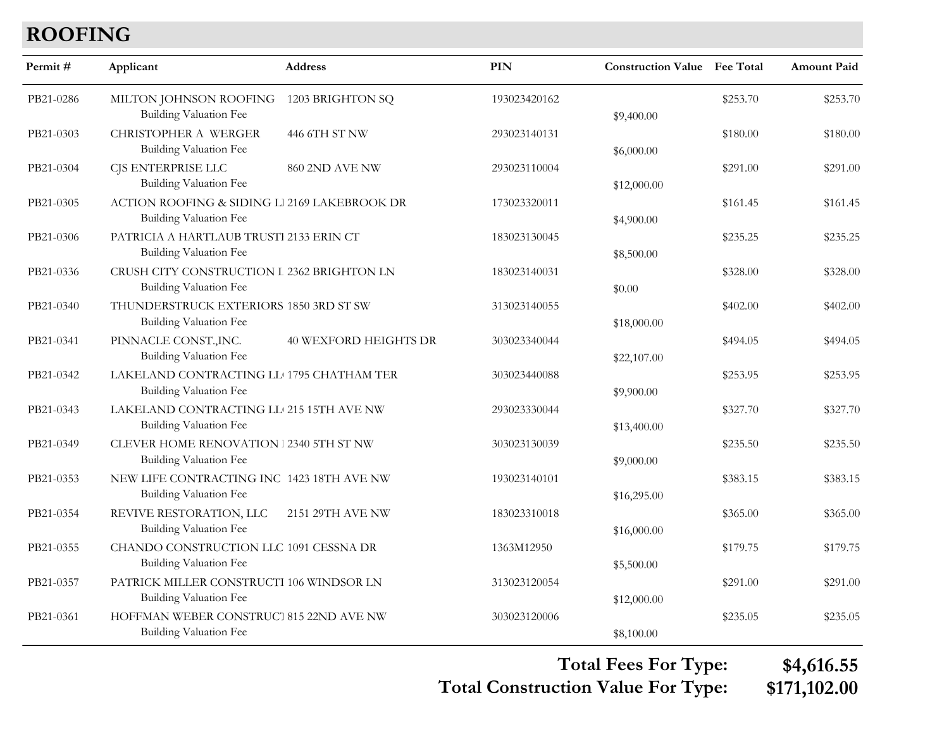# **ROOFING**

| Permit#   | Applicant                                                                       | <b>Address</b>               | PIN          | <b>Construction Value Fee Total</b> |          | <b>Amount Paid</b> |
|-----------|---------------------------------------------------------------------------------|------------------------------|--------------|-------------------------------------|----------|--------------------|
| PB21-0286 | MILTON JOHNSON ROOFING<br><b>Building Valuation Fee</b>                         | 1203 BRIGHTON SQ             | 193023420162 | \$9,400.00                          | \$253.70 | \$253.70           |
| PB21-0303 | <b>CHRISTOPHER A WERGER</b><br><b>Building Valuation Fee</b>                    | 446 6TH ST NW                | 293023140131 | \$6,000.00                          | \$180.00 | \$180.00           |
| PB21-0304 | CJS ENTERPRISE LLC<br><b>Building Valuation Fee</b>                             | 860 2ND AVE NW               | 293023110004 | \$12,000.00                         | \$291.00 | \$291.00           |
| PB21-0305 | ACTION ROOFING & SIDING L1 2169 LAKEBROOK DR<br><b>Building Valuation Fee</b>   |                              | 173023320011 | \$4,900.00                          | \$161.45 | \$161.45           |
| PB21-0306 | PATRICIA A HARTLAUB TRUSTI 2133 ERIN CT<br>Building Valuation Fee               |                              | 183023130045 | \$8,500.00                          | \$235.25 | \$235.25           |
| PB21-0336 | CRUSH CITY CONSTRUCTION I 2362 BRIGHTON LN<br><b>Building Valuation Fee</b>     |                              | 183023140031 | \$0.00                              | \$328.00 | \$328.00           |
| PB21-0340 | THUNDERSTRUCK EXTERIORS 1850 3RD ST SW<br><b>Building Valuation Fee</b>         |                              | 313023140055 | \$18,000.00                         | \$402.00 | \$402.00           |
| PB21-0341 | PINNACLE CONST., INC.<br><b>Building Valuation Fee</b>                          | <b>40 WEXFORD HEIGHTS DR</b> | 303023340044 | \$22,107.00                         | \$494.05 | \$494.05           |
| PB21-0342 | LAKELAND CONTRACTING LL 1795 CHATHAM TER<br><b>Building Valuation Fee</b>       |                              | 303023440088 | \$9,900.00                          | \$253.95 | \$253.95           |
| PB21-0343 | LAKELAND CONTRACTING LL 215 15TH AVE NW<br><b>Building Valuation Fee</b>        |                              | 293023330044 | \$13,400.00                         | \$327.70 | \$327.70           |
| PB21-0349 | <b>CLEVER HOME RENOVATION 1 2340 5TH ST NW</b><br><b>Building Valuation Fee</b> |                              | 303023130039 | \$9,000.00                          | \$235.50 | \$235.50           |
| PB21-0353 | NEW LIFE CONTRACTING INC 1423 18TH AVE NW<br><b>Building Valuation Fee</b>      |                              | 193023140101 | \$16,295.00                         | \$383.15 | \$383.15           |
| PB21-0354 | REVIVE RESTORATION, LLC<br><b>Building Valuation Fee</b>                        | 2151 29TH AVE NW             | 183023310018 | \$16,000.00                         | \$365.00 | \$365.00           |
| PB21-0355 | CHANDO CONSTRUCTION LLC 1091 CESSNA DR<br><b>Building Valuation Fee</b>         |                              | 1363M12950   | \$5,500.00                          | \$179.75 | \$179.75           |
| PB21-0357 | PATRICK MILLER CONSTRUCTI 106 WINDSOR LN<br><b>Building Valuation Fee</b>       |                              | 313023120054 | \$12,000.00                         | \$291.00 | \$291.00           |
| PB21-0361 | HOFFMAN WEBER CONSTRUCT 815 22ND AVE NW<br>Building Valuation Fee               |                              | 303023120006 | \$8,100.00                          | \$235.05 | \$235.05           |

**Total Construction Value For Type: \$171,102.00 Total Fees For Type: \$4,616.55**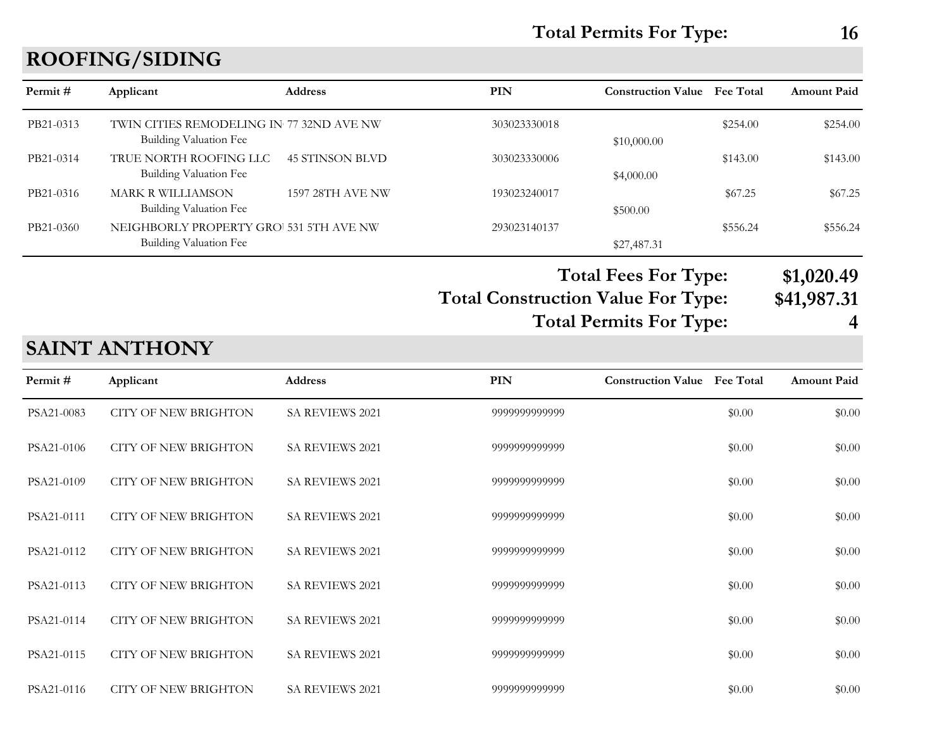# **ROOFING/SIDING**

| Permit#   | Applicant                                                          | <b>Address</b>         | <b>PIN</b>                                | <b>Construction Value</b>      | <b>Fee Total</b> | Amount Paid |
|-----------|--------------------------------------------------------------------|------------------------|-------------------------------------------|--------------------------------|------------------|-------------|
| PB21-0313 | TWIN CITIES REMODELING IN 77 32ND AVE NW<br>Building Valuation Fee |                        | 303023330018                              | \$10,000.00                    | \$254.00         | \$254.00    |
| PB21-0314 | TRUE NORTH ROOFING LLC<br>Building Valuation Fee                   | <b>45 STINSON BLVD</b> | 303023330006                              | \$4,000.00                     | \$143.00         | \$143.00    |
| PB21-0316 | <b>MARK R WILLIAMSON</b><br>Building Valuation Fee                 | 1597 28TH AVE NW       | 193023240017                              | \$500.00                       | \$67.25          | \$67.25     |
| PB21-0360 | NEIGHBORLY PROPERTY GRO 531 5TH AVE NW<br>Building Valuation Fee   |                        | 293023140137                              | \$27,487.31                    | \$556.24         | \$556.24    |
|           |                                                                    |                        |                                           | <b>Total Fees For Type:</b>    |                  | \$1,020.49  |
|           |                                                                    |                        | <b>Total Construction Value For Type:</b> |                                |                  | \$41,987.31 |
|           |                                                                    |                        |                                           | <b>Total Permits For Type:</b> |                  |             |

# **SAINT ANTHONY**

| Permit#    | Applicant                   | Address                | <b>PIN</b>    | <b>Construction Value</b> | <b>Fee Total</b> | <b>Amount Paid</b> |
|------------|-----------------------------|------------------------|---------------|---------------------------|------------------|--------------------|
| PSA21-0083 | <b>CITY OF NEW BRIGHTON</b> | SA REVIEWS 2021        | 9999999999999 |                           | \$0.00           | \$0.00             |
| PSA21-0106 | <b>CITY OF NEW BRIGHTON</b> | SA REVIEWS 2021        | 9999999999999 |                           | \$0.00           | \$0.00             |
| PSA21-0109 | <b>CITY OF NEW BRIGHTON</b> | SA REVIEWS 2021        | 9999999999999 |                           | \$0.00           | \$0.00             |
| PSA21-0111 | <b>CITY OF NEW BRIGHTON</b> | SA REVIEWS 2021        | 9999999999999 |                           | \$0.00           | \$0.00             |
| PSA21-0112 | <b>CITY OF NEW BRIGHTON</b> | SA REVIEWS 2021        | 9999999999999 |                           | \$0.00           | \$0.00             |
| PSA21-0113 | <b>CITY OF NEW BRIGHTON</b> | <b>SA REVIEWS 2021</b> | 9999999999999 |                           | \$0.00           | \$0.00             |
| PSA21-0114 | <b>CITY OF NEW BRIGHTON</b> | <b>SA REVIEWS 2021</b> | 9999999999999 |                           | \$0.00           | \$0.00             |
| PSA21-0115 | <b>CITY OF NEW BRIGHTON</b> | <b>SA REVIEWS 2021</b> | 9999999999999 |                           | \$0.00           | \$0.00             |
| PSA21-0116 | <b>CITY OF NEW BRIGHTON</b> | SA REVIEWS 2021        | 9999999999999 |                           | \$0.00           | \$0.00             |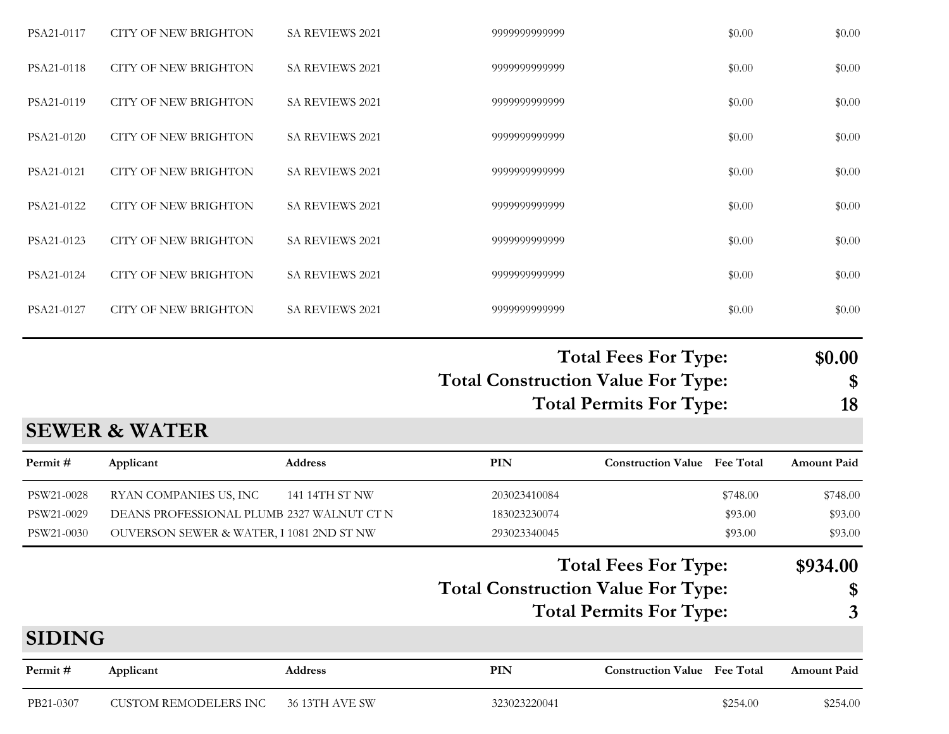| Permit#<br>PSW21-0028<br>PSW21-0029<br>PSW21-0030<br><b>SIDING</b><br>Permit# | <b>SEWER &amp; WATER</b><br>Applicant<br>RYAN COMPANIES US, INC<br>DEANS PROFESSIONAL PLUMB 2327 WALNUT CT N<br>OUVERSON SEWER & WATER, I 1081 2ND ST NW<br>Applicant | Address<br>141 14TH ST NW<br><b>Address</b> | <b>PIN</b><br>203023410084<br>183023230074<br>293023340045<br><b>Total Construction Value For Type:</b><br>PIN | <b>Construction Value</b> Fee Total<br><b>Total Fees For Type:</b><br><b>Total Permits For Type:</b><br><b>Construction Value</b> Fee Total | \$748.00<br>\$93.00<br>\$93.00 | <b>Amount Paid</b><br>\$748.00<br>\$93.00<br>\$93.00<br>\$934.00<br>\$<br>3<br><b>Amount Paid</b> |
|-------------------------------------------------------------------------------|-----------------------------------------------------------------------------------------------------------------------------------------------------------------------|---------------------------------------------|----------------------------------------------------------------------------------------------------------------|---------------------------------------------------------------------------------------------------------------------------------------------|--------------------------------|---------------------------------------------------------------------------------------------------|
|                                                                               |                                                                                                                                                                       |                                             |                                                                                                                |                                                                                                                                             |                                |                                                                                                   |
|                                                                               |                                                                                                                                                                       |                                             |                                                                                                                |                                                                                                                                             |                                |                                                                                                   |
|                                                                               |                                                                                                                                                                       |                                             |                                                                                                                |                                                                                                                                             |                                |                                                                                                   |
|                                                                               |                                                                                                                                                                       |                                             |                                                                                                                |                                                                                                                                             |                                |                                                                                                   |
|                                                                               |                                                                                                                                                                       |                                             |                                                                                                                |                                                                                                                                             |                                |                                                                                                   |
|                                                                               |                                                                                                                                                                       |                                             | <b>Total Construction Value For Type:</b>                                                                      | <b>Total Fees For Type:</b><br><b>Total Permits For Type:</b>                                                                               |                                | \$0.00<br>\$<br>18                                                                                |
| PSA21-0127                                                                    | <b>CITY OF NEW BRIGHTON</b>                                                                                                                                           | <b>SA REVIEWS 2021</b>                      | 9999999999999                                                                                                  |                                                                                                                                             | \$0.00                         | \$0.00                                                                                            |
| PSA21-0124                                                                    | <b>CITY OF NEW BRIGHTON</b>                                                                                                                                           | SA REVIEWS 2021                             | 9999999999999                                                                                                  |                                                                                                                                             | \$0.00                         | \$0.00                                                                                            |
| PSA21-0123                                                                    | <b>CITY OF NEW BRIGHTON</b>                                                                                                                                           | SA REVIEWS 2021                             | 9999999999999                                                                                                  |                                                                                                                                             | \$0.00                         | \$0.00                                                                                            |
| PSA21-0122                                                                    | <b>CITY OF NEW BRIGHTON</b>                                                                                                                                           | SA REVIEWS 2021                             | 9999999999999                                                                                                  |                                                                                                                                             | \$0.00                         | \$0.00                                                                                            |
| PSA21-0121                                                                    | <b>CITY OF NEW BRIGHTON</b>                                                                                                                                           | SA REVIEWS 2021                             | 9999999999999                                                                                                  |                                                                                                                                             | \$0.00                         | \$0.00                                                                                            |
| PSA21-0120                                                                    | <b>CITY OF NEW BRIGHTON</b>                                                                                                                                           | <b>SA REVIEWS 2021</b>                      | 9999999999999                                                                                                  |                                                                                                                                             | \$0.00                         | \$0.00                                                                                            |
| PSA21-0119                                                                    | <b>CITY OF NEW BRIGHTON</b>                                                                                                                                           | SA REVIEWS 2021                             | 9999999999999                                                                                                  |                                                                                                                                             | \$0.00                         | \$0.00                                                                                            |
|                                                                               | <b>CITY OF NEW BRIGHTON</b>                                                                                                                                           | SA REVIEWS 2021                             | 9999999999999                                                                                                  |                                                                                                                                             | \$0.00                         | \$0.00                                                                                            |
| PSA21-0118                                                                    |                                                                                                                                                                       |                                             |                                                                                                                |                                                                                                                                             |                                |                                                                                                   |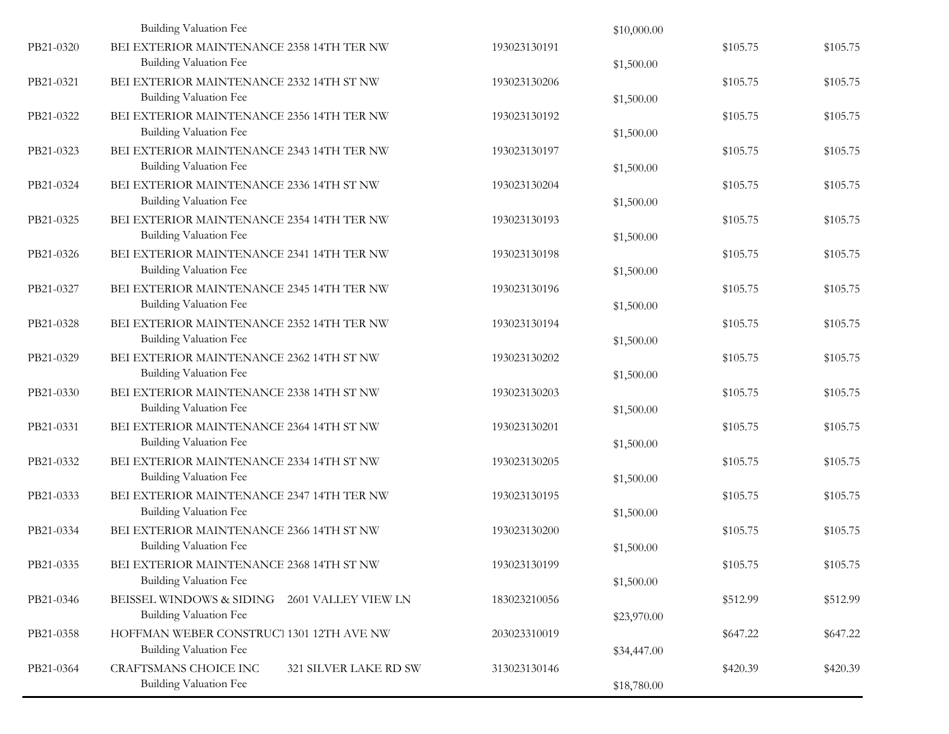|           | Building Valuation Fee                                                     |                       |              | \$10,000.00 |          |          |
|-----------|----------------------------------------------------------------------------|-----------------------|--------------|-------------|----------|----------|
| PB21-0320 | BEI EXTERIOR MAINTENANCE 2358 14TH TER NW<br>Building Valuation Fee        |                       | 193023130191 | \$1,500.00  | \$105.75 | \$105.75 |
| PB21-0321 | BEI EXTERIOR MAINTENANCE 2332 14TH ST NW<br>Building Valuation Fee         |                       | 193023130206 | \$1,500.00  | \$105.75 | \$105.75 |
| PB21-0322 | BEI EXTERIOR MAINTENANCE 2356 14TH TER NW<br>Building Valuation Fee        |                       | 193023130192 | \$1,500.00  | \$105.75 | \$105.75 |
| PB21-0323 | BEI EXTERIOR MAINTENANCE 2343 14TH TER NW<br>Building Valuation Fee        |                       | 193023130197 | \$1,500.00  | \$105.75 | \$105.75 |
| PB21-0324 | BEI EXTERIOR MAINTENANCE 2336 14TH ST NW<br>Building Valuation Fee         |                       | 193023130204 | \$1,500.00  | \$105.75 | \$105.75 |
| PB21-0325 | BEI EXTERIOR MAINTENANCE 2354 14TH TER NW<br>Building Valuation Fee        |                       | 193023130193 | \$1,500.00  | \$105.75 | \$105.75 |
| PB21-0326 | BEI EXTERIOR MAINTENANCE 2341 14TH TER NW<br><b>Building Valuation Fee</b> |                       | 193023130198 | \$1,500.00  | \$105.75 | \$105.75 |
| PB21-0327 | BEI EXTERIOR MAINTENANCE 2345 14TH TER NW<br>Building Valuation Fee        |                       | 193023130196 | \$1,500.00  | \$105.75 | \$105.75 |
| PB21-0328 | BEI EXTERIOR MAINTENANCE 2352 14TH TER NW<br>Building Valuation Fee        |                       | 193023130194 | \$1,500.00  | \$105.75 | \$105.75 |
| PB21-0329 | BEI EXTERIOR MAINTENANCE 2362 14TH ST NW<br>Building Valuation Fee         |                       | 193023130202 | \$1,500.00  | \$105.75 | \$105.75 |
| PB21-0330 | BEI EXTERIOR MAINTENANCE 2338 14TH ST NW<br>Building Valuation Fee         |                       | 193023130203 | \$1,500.00  | \$105.75 | \$105.75 |
| PB21-0331 | BEI EXTERIOR MAINTENANCE 2364 14TH ST NW<br>Building Valuation Fee         |                       | 193023130201 | \$1,500.00  | \$105.75 | \$105.75 |
| PB21-0332 | BEI EXTERIOR MAINTENANCE 2334 14TH ST NW<br>Building Valuation Fee         |                       | 193023130205 | \$1,500.00  | \$105.75 | \$105.75 |
| PB21-0333 | BEI EXTERIOR MAINTENANCE 2347 14TH TER NW<br>Building Valuation Fee        |                       | 193023130195 | \$1,500.00  | \$105.75 | \$105.75 |
| PB21-0334 | BEI EXTERIOR MAINTENANCE 2366 14TH ST NW<br>Building Valuation Fee         |                       | 193023130200 | \$1,500.00  | \$105.75 | \$105.75 |
| PB21-0335 | BEI EXTERIOR MAINTENANCE 2368 14TH ST NW<br>Building Valuation Fee         |                       | 193023130199 | \$1,500.00  | \$105.75 | \$105.75 |
| PB21-0346 | BEISSEL WINDOWS & SIDING<br>Building Valuation Fee                         | 2601 VALLEY VIEW LN   | 183023210056 | \$23,970.00 | \$512.99 | \$512.99 |
| PB21-0358 | HOFFMAN WEBER CONSTRUCT 1301 12TH AVE NW<br>Building Valuation Fee         |                       | 203023310019 | \$34,447.00 | \$647.22 | \$647.22 |
| PB21-0364 | <b>CRAFTSMANS CHOICE INC</b><br>Building Valuation Fee                     | 321 SILVER LAKE RD SW | 313023130146 | \$18,780.00 | \$420.39 | \$420.39 |
|           |                                                                            |                       |              |             |          |          |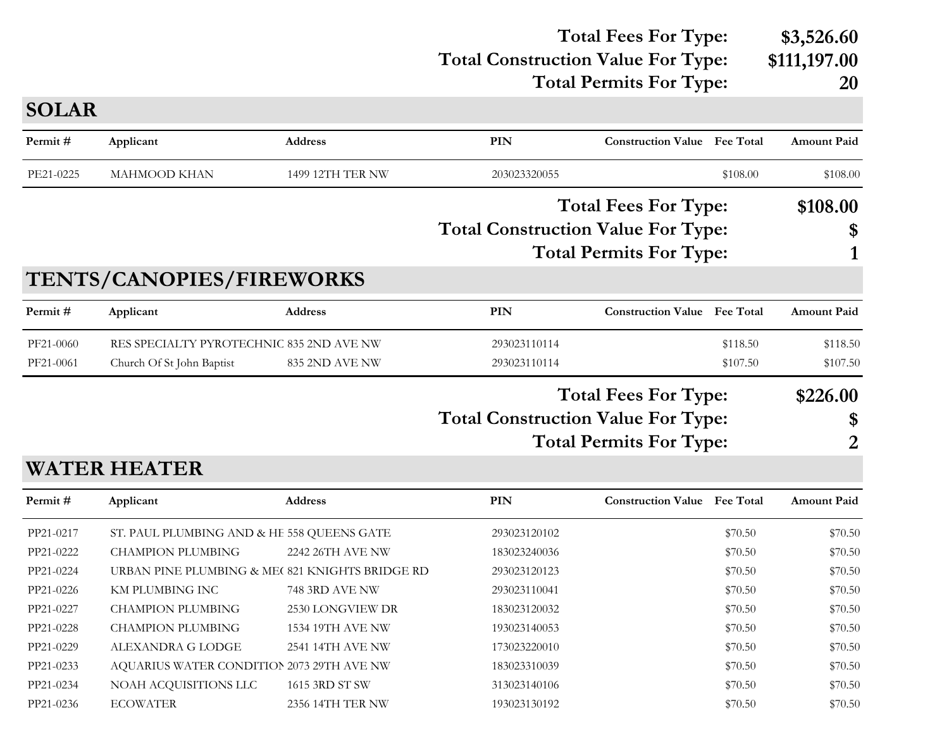#### **Total Construction Value For Type: \$111,197.00 Total Fees For Type: \$3,526.60 Total Permits For Type: 20**

| <b>SOLAR</b> |                                                |                         |                                           |                                     |          |                    |
|--------------|------------------------------------------------|-------------------------|-------------------------------------------|-------------------------------------|----------|--------------------|
| Permit#      | Applicant                                      | <b>Address</b>          | <b>PIN</b>                                | <b>Construction Value</b> Fee Total |          | <b>Amount Paid</b> |
| PE21-0225    | <b>MAHMOOD KHAN</b>                            | <b>1499 12TH TER NW</b> | 203023320055                              |                                     | \$108.00 | \$108.00           |
|              |                                                |                         |                                           | <b>Total Fees For Type:</b>         |          | \$108.00           |
|              |                                                |                         | <b>Total Construction Value For Type:</b> |                                     |          | \$                 |
|              |                                                |                         |                                           | <b>Total Permits For Type:</b>      |          | 1                  |
|              | TENTS/CANOPIES/FIREWORKS                       |                         |                                           |                                     |          |                    |
| Permit#      | Applicant                                      | <b>Address</b>          | <b>PIN</b>                                | <b>Construction Value</b> Fee Total |          | <b>Amount Paid</b> |
| PF21-0060    | RES SPECIALTY PYROTECHNIC 835 2ND AVE NW       |                         | 293023110114                              |                                     | \$118.50 | \$118.50           |
| PF21-0061    | Church Of St John Baptist                      | 835 2ND AVE NW          | 293023110114                              |                                     | \$107.50 | \$107.50           |
|              |                                                |                         |                                           | <b>Total Fees For Type:</b>         |          | \$226.00           |
|              |                                                |                         | <b>Total Construction Value For Type:</b> |                                     |          | \$                 |
|              |                                                |                         |                                           | <b>Total Permits For Type:</b>      |          | $\overline{2}$     |
|              | <b>WATER HEATER</b>                            |                         |                                           |                                     |          |                    |
| Permit#      | Applicant                                      | <b>Address</b>          | <b>PIN</b>                                | <b>Construction Value Fee Total</b> |          | <b>Amount Paid</b> |
| PP21-0217    | ST. PAUL PLUMBING AND & HE 558 QUEENS GATE     |                         | 293023120102                              |                                     | \$70.50  | \$70.50            |
| PP21-0222    | <b>CHAMPION PLUMBING</b>                       | 2242 26TH AVE NW        | 183023240036                              |                                     | \$70.50  | \$70.50            |
| PP21-0224    | URBAN PINE PLUMBING & ME(821 KNIGHTS BRIDGE RD |                         | 293023120123                              |                                     | \$70.50  | \$70.50            |
| PP21-0226    | KM PLUMBING INC                                | 748 3RD AVE NW          | 293023110041                              |                                     | \$70.50  | \$70.50            |
| PP21-0227    | <b>CHAMPION PLUMBING</b>                       | 2530 LONGVIEW DR        | 183023120032                              |                                     | \$70.50  | \$70.50            |
| PP21-0228    | <b>CHAMPION PLUMBING</b>                       | 1534 19TH AVE NW        | 193023140053                              |                                     | \$70.50  | \$70.50            |
| PP21-0229    | ALEXANDRA G LODGE                              | 2541 14TH AVE NW        | 173023220010                              |                                     | \$70.50  | \$70.50            |
| PP21-0233    | AQUARIUS WATER CONDITION 2073 29TH AVE NW      |                         | 183023310039                              |                                     | \$70.50  | \$70.50            |
| PP21-0234    | NOAH ACQUISITIONS LLC                          | 1615 3RD ST SW          | 313023140106                              |                                     | \$70.50  | \$70.50            |
| PP21-0236    | <b>ECOWATER</b>                                | 2356 14TH TER NW        | 193023130192                              |                                     | \$70.50  | \$70.50            |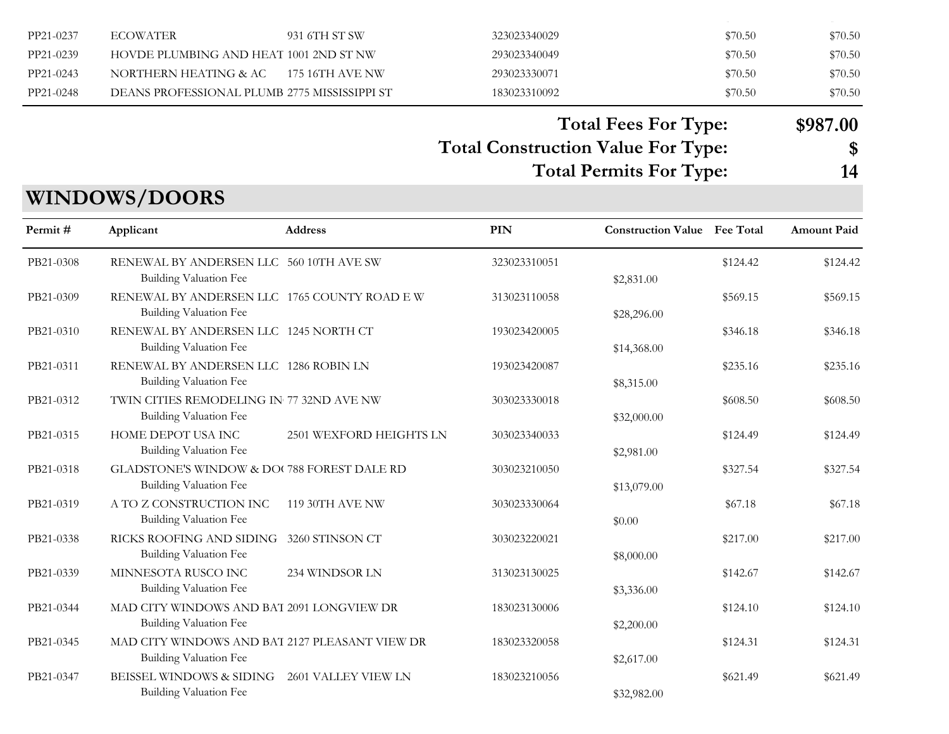| PP21-0237 | <b>ECOWATER</b>                              | 931 6TH ST SW     | 323023340029 | \$70.50 | \$70.50 |
|-----------|----------------------------------------------|-------------------|--------------|---------|---------|
| PP21-0239 | HOVDE PLUMBING AND HEAT 1001 2ND ST NW       |                   | 293023340049 | \$70.50 | \$70.50 |
| PP21-0243 | NORTHERN HEATING & AC                        | – 175 16TH AVE NW | 293023330071 | \$70.50 | \$70.50 |
| PP21-0248 | DEANS PROFESSIONAL PLUMB 2775 MISSISSIPPI ST |                   | 183023310092 | \$70.50 | \$70.50 |

 $P$  2356  $\pm$  0236  $\pm$  0236 14Th Terms 2356 14Th Terms 2356 14Th Terms 2356 14Th Terms 2356 14Th Terms 2356 14Th Terms 2356 14Th Terms 2356 14Th Terms 2356 14Th Terms 2356 14Th Terms 2356 14Th Terms 2356 14Th Terms 2356

**Total Fees For Type: \$987.00**

#### **Total Construction Value For Type: \$ Total Permits For Type: 14**

|           |                                                                                 | <b>Address</b>          | PIN          | <b>Construction Value Fee Total</b> |          | <b>Amount Paid</b> |
|-----------|---------------------------------------------------------------------------------|-------------------------|--------------|-------------------------------------|----------|--------------------|
| Permit #  | Applicant                                                                       |                         |              |                                     |          |                    |
| PB21-0308 | RENEWAL BY ANDERSEN LLC 560 10TH AVE SW<br>Building Valuation Fee               |                         | 323023310051 | \$2,831.00                          | \$124.42 | \$124.42           |
| PB21-0309 | RENEWAL BY ANDERSEN LLC 1765 COUNTY ROAD E W<br>Building Valuation Fee          |                         | 313023110058 | \$28,296.00                         | \$569.15 | \$569.15           |
| PB21-0310 | RENEWAL BY ANDERSEN LLC 1245 NORTH CT<br>Building Valuation Fee                 |                         | 193023420005 | \$14,368.00                         | \$346.18 | \$346.18           |
| PB21-0311 | RENEWAL BY ANDERSEN LLC 1286 ROBIN LN<br>Building Valuation Fee                 |                         | 193023420087 | \$8,315.00                          | \$235.16 | \$235.16           |
| PB21-0312 | TWIN CITIES REMODELING IN 77 32ND AVE NW<br>Building Valuation Fee              |                         | 303023330018 | \$32,000.00                         | \$608.50 | \$608.50           |
| PB21-0315 | HOME DEPOT USA INC<br>Building Valuation Fee                                    | 2501 WEXFORD HEIGHTS LN | 303023340033 | \$2,981.00                          | \$124.49 | \$124.49           |
| PB21-0318 | GLADSTONE'S WINDOW & DO( 788 FOREST DALE RD<br>Building Valuation Fee           |                         | 303023210050 | \$13,079.00                         | \$327.54 | \$327.54           |
| PB21-0319 | A TO Z CONSTRUCTION INC<br><b>Building Valuation Fee</b>                        | 119 30TH AVE NW         | 303023330064 | \$0.00                              | \$67.18  | \$67.18            |
| PB21-0338 | RICKS ROOFING AND SIDING<br>Building Valuation Fee                              | 3260 STINSON CT         | 303023220021 | \$8,000.00                          | \$217.00 | \$217.00           |
| PB21-0339 | MINNESOTA RUSCO INC<br><b>Building Valuation Fee</b>                            | 234 WINDSOR LN          | 313023130025 | \$3,336.00                          | \$142.67 | \$142.67           |
| PB21-0344 | MAD CITY WINDOWS AND BAT 2091 LONGVIEW DR<br>Building Valuation Fee             |                         | 183023130006 | \$2,200.00                          | \$124.10 | \$124.10           |
| PB21-0345 | MAD CITY WINDOWS AND BAT 2127 PLEASANT VIEW DR<br><b>Building Valuation Fee</b> |                         | 183023320058 | \$2,617.00                          | \$124.31 | \$124.31           |
| PB21-0347 | BEISSEL WINDOWS & SIDING<br>Building Valuation Fee                              | 2601 VALLEY VIEW LN     | 183023210056 | \$32,982.00                         | \$621.49 | \$621.49           |

### **WINDOWS/DOORS**